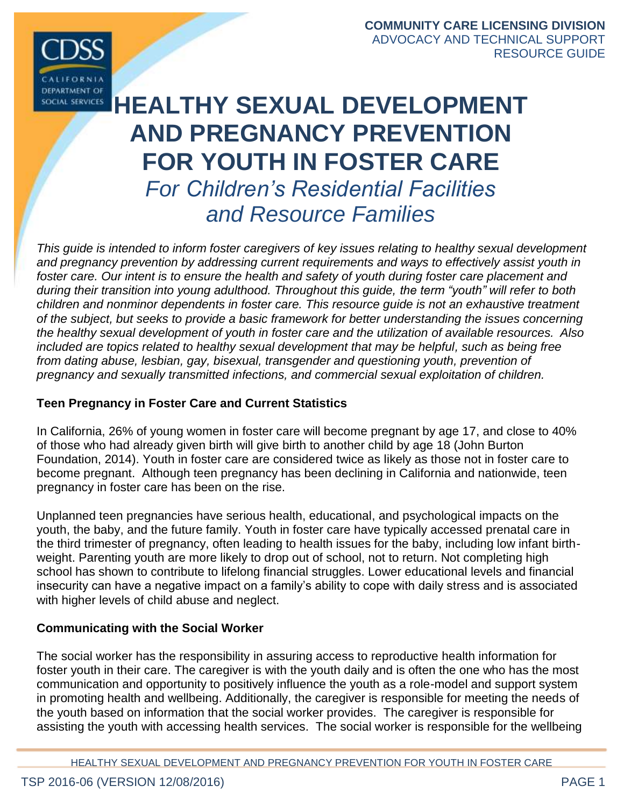

**HEALTHY SEXUAL DEVELOPMENT AND PREGNANCY PREVENTION FOR YOUTH IN FOSTER CARE** *For Children's Residential Facilities and Resource Families*

*This guide is intended to inform foster caregivers of key issues relating to healthy sexual development and pregnancy prevention by addressing current requirements and ways to effectively assist youth in foster care. Our intent is to ensure the health and safety of youth during foster care placement and during their transition into young adulthood. Throughout this guide, the term "youth" will refer to both children and nonminor dependents in foster care. This resource guide is not an exhaustive treatment of the subject, but seeks to provide a basic framework for better understanding the issues concerning the healthy sexual development of youth in foster care and the utilization of available resources. Also included are topics related to healthy sexual development that may be helpful, such as being free from dating abuse, lesbian, gay, bisexual, transgender and questioning youth, prevention of pregnancy and sexually transmitted infections, and commercial sexual exploitation of children.*

### **Teen Pregnancy in Foster Care and Current Statistics**

**DEPARTMENT OF** SOCIAL SERVICES

In California, 26% of young women in foster care will become pregnant by age 17, and close to 40% of those who had already given birth will give birth to another child by age 18 (John Burton Foundation, 2014). Youth in foster care are considered twice as likely as those not in foster care to become pregnant. Although teen pregnancy has been declining in California and nationwide, teen pregnancy in foster care has been on the rise.

Unplanned teen pregnancies have serious health, educational, and psychological impacts on the youth, the baby, and the future family. Youth in foster care have typically accessed prenatal care in the third trimester of pregnancy, often leading to health issues for the baby, including low infant birthweight. Parenting youth are more likely to drop out of school, not to return. Not completing high school has shown to contribute to lifelong financial struggles. Lower educational levels and financial insecurity can have a negative impact on a family's ability to cope with daily stress and is associated with higher levels of child abuse and neglect.

### **Communicating with the Social Worker**

The social worker has the responsibility in assuring access to reproductive health information for foster youth in their care. The caregiver is with the youth daily and is often the one who has the most communication and opportunity to positively influence the youth as a role-model and support system in promoting health and wellbeing. Additionally, the caregiver is responsible for meeting the needs of the youth based on information that the social worker provides. The caregiver is responsible for assisting the youth with accessing health services. The social worker is responsible for the wellbeing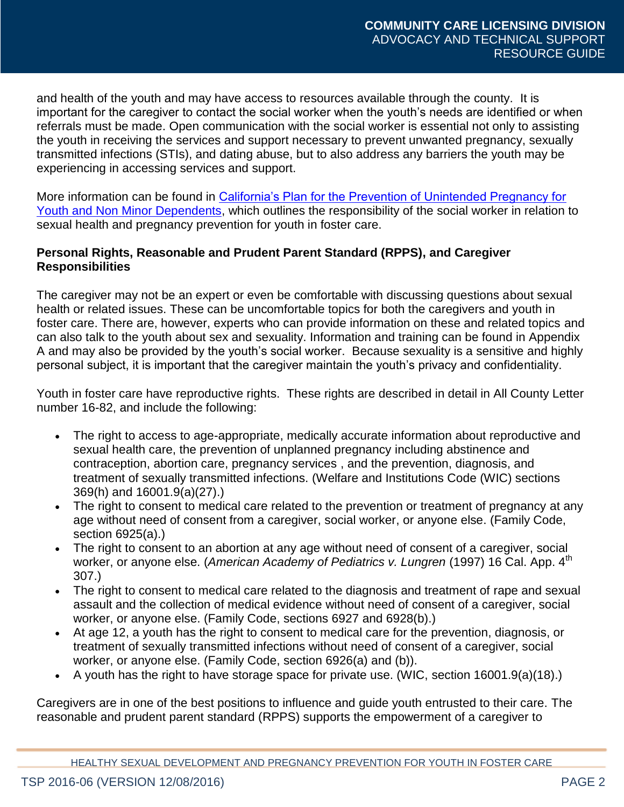and health of the youth and may have access to resources available through the county. It is important for the caregiver to contact the social worker when the youth's needs are identified or when referrals must be made. Open communication with the social worker is essential not only to assisting the youth in receiving the services and support necessary to prevent unwanted pregnancy, sexually transmitted infections (STIs), and dating abuse, but to also address any barriers the youth may be experiencing in accessing services and support.

More information can be found in [California's Plan for the Prevention of Unintended Pregnancy for](http://www.childsworld.ca.gov/res/pdf/CaliforniaPregPrevPlan.pdf)  [Youth and Non Minor Dependents,](http://www.childsworld.ca.gov/res/pdf/CaliforniaPregPrevPlan.pdf) which outlines the responsibility of the social worker in relation to sexual health and pregnancy prevention for youth in foster care.

## **Personal Rights, Reasonable and Prudent Parent Standard (RPPS), and Caregiver Responsibilities**

The caregiver may not be an expert or even be comfortable with discussing questions about sexual health or related issues. These can be uncomfortable topics for both the caregivers and youth in foster care. There are, however, experts who can provide information on these and related topics and can also talk to the youth about sex and sexuality. Information and training can be found in Appendix A and may also be provided by the youth's social worker. Because sexuality is a sensitive and highly personal subject, it is important that the caregiver maintain the youth's privacy and confidentiality.

Youth in foster care have reproductive rights. These rights are described in detail in All County Letter number 16-82, and include the following:

- The right to access to age-appropriate, medically accurate information about reproductive and sexual health care, the prevention of unplanned pregnancy including abstinence and contraception, abortion care, pregnancy services , and the prevention, diagnosis, and treatment of sexually transmitted infections. (Welfare and Institutions Code (WIC) sections 369(h) and 16001.9(a)(27).)
- The right to consent to medical care related to the prevention or treatment of pregnancy at any age without need of consent from a caregiver, social worker, or anyone else. (Family Code, section 6925(a).)
- The right to consent to an abortion at any age without need of consent of a caregiver, social worker, or anyone else. (American Academy of Pediatrics v. Lungren (1997) 16 Cal. App. 4<sup>th</sup> 307.)
- The right to consent to medical care related to the diagnosis and treatment of rape and sexual assault and the collection of medical evidence without need of consent of a caregiver, social worker, or anyone else. (Family Code, sections 6927 and 6928(b).)
- At age 12, a youth has the right to consent to medical care for the prevention, diagnosis, or treatment of sexually transmitted infections without need of consent of a caregiver, social worker, or anyone else. (Family Code, section 6926(a) and (b)).
- A youth has the right to have storage space for private use. (WIC, section 16001.9(a)(18).)

Caregivers are in one of the best positions to influence and guide youth entrusted to their care. The reasonable and prudent parent standard (RPPS) supports the empowerment of a caregiver to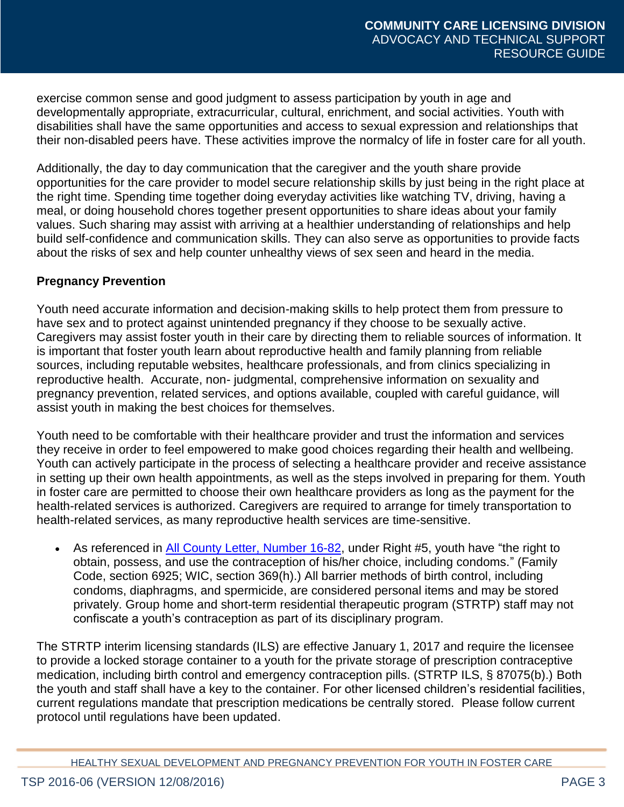exercise common sense and good judgment to assess participation by youth in age and developmentally appropriate, extracurricular, cultural, enrichment, and social activities. Youth with disabilities shall have the same opportunities and access to sexual expression and relationships that their non-disabled peers have. These activities improve the normalcy of life in foster care for all youth.

Additionally, the day to day communication that the caregiver and the youth share provide opportunities for the care provider to model secure relationship skills by just being in the right place at the right time. Spending time together doing everyday activities like watching TV, driving, having a meal, or doing household chores together present opportunities to share ideas about your family values. Such sharing may assist with arriving at a healthier understanding of relationships and help build self-confidence and communication skills. They can also serve as opportunities to provide facts about the risks of sex and help counter unhealthy views of sex seen and heard in the media.

### **Pregnancy Prevention**

Youth need accurate information and decision-making skills to help protect them from pressure to have sex and to protect against unintended pregnancy if they choose to be sexually active. Caregivers may assist foster youth in their care by directing them to reliable sources of information. It is important that foster youth learn about reproductive health and family planning from reliable sources, including reputable websites, healthcare professionals, and from clinics specializing in reproductive health. Accurate, non- judgmental, comprehensive information on sexuality and pregnancy prevention, related services, and options available, coupled with careful guidance, will assist youth in making the best choices for themselves.

Youth need to be comfortable with their healthcare provider and trust the information and services they receive in order to feel empowered to make good choices regarding their health and wellbeing. Youth can actively participate in the process of selecting a healthcare provider and receive assistance in setting up their own health appointments, as well as the steps involved in preparing for them. Youth in foster care are permitted to choose their own healthcare providers as long as the payment for the health-related services is authorized. Caregivers are required to arrange for timely transportation to health-related services, as many reproductive health services are time-sensitive.

As referenced in [All County Letter,](http://www.cdss.ca.gov/lettersnotices/EntRes/getinfo/acl/2016/16-82.pdf) Number 16-82, under Right #5, youth have "the right to obtain, possess, and use the contraception of his/her choice, including condoms." (Family Code, section 6925; WIC, section 369(h).) All barrier methods of birth control, including condoms, diaphragms, and spermicide, are considered personal items and may be stored privately. Group home and short-term residential therapeutic program (STRTP) staff may not confiscate a youth's contraception as part of its disciplinary program.

The STRTP interim licensing standards (ILS) are effective January 1, 2017 and require the licensee to provide a locked storage container to a youth for the private storage of prescription contraceptive medication, including birth control and emergency contraception pills. (STRTP ILS, § 87075(b).) Both the youth and staff shall have a key to the container. For other licensed children's residential facilities, current regulations mandate that prescription medications be centrally stored. Please follow current protocol until regulations have been updated.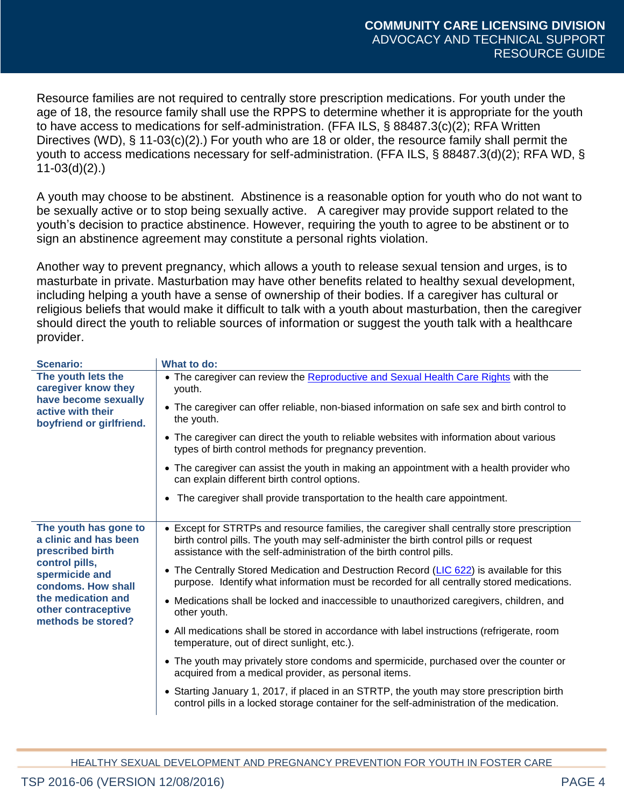Resource families are not required to centrally store prescription medications. For youth under the age of 18, the resource family shall use the RPPS to determine whether it is appropriate for the youth to have access to medications for self-administration. (FFA ILS, § 88487.3(c)(2); RFA Written Directives (WD), § 11-03(c)(2).) For youth who are 18 or older, the resource family shall permit the youth to access medications necessary for self-administration. (FFA ILS, § 88487.3(d)(2); RFA WD, § 11-03(d)(2).)

A youth may choose to be abstinent. Abstinence is a reasonable option for youth who do not want to be sexually active or to stop being sexually active. A caregiver may provide support related to the youth's decision to practice abstinence. However, requiring the youth to agree to be abstinent or to sign an abstinence agreement may constitute a personal rights violation.

Another way to prevent pregnancy, which allows a youth to release sexual tension and urges, is to masturbate in private. Masturbation may have other benefits related to healthy sexual development, including helping a youth have a sense of ownership of their bodies. If a caregiver has cultural or religious beliefs that would make it difficult to talk with a youth about masturbation, then the caregiver should direct the youth to reliable sources of information or suggest the youth talk with a healthcare provider.

| <b>Scenario:</b>                                                                                                                                                                                | What to do:                                                                                                                                                                                                                                                 |
|-------------------------------------------------------------------------------------------------------------------------------------------------------------------------------------------------|-------------------------------------------------------------------------------------------------------------------------------------------------------------------------------------------------------------------------------------------------------------|
| The youth lets the<br>caregiver know they<br>have become sexually<br>active with their<br>boyfriend or girlfriend.                                                                              | • The caregiver can review the Reproductive and Sexual Health Care Rights with the<br>youth.                                                                                                                                                                |
|                                                                                                                                                                                                 | • The caregiver can offer reliable, non-biased information on safe sex and birth control to<br>the youth.                                                                                                                                                   |
|                                                                                                                                                                                                 | • The caregiver can direct the youth to reliable websites with information about various<br>types of birth control methods for pregnancy prevention.                                                                                                        |
|                                                                                                                                                                                                 | • The caregiver can assist the youth in making an appointment with a health provider who<br>can explain different birth control options.                                                                                                                    |
|                                                                                                                                                                                                 | The caregiver shall provide transportation to the health care appointment.<br>$\bullet$                                                                                                                                                                     |
| The youth has gone to<br>a clinic and has been<br>prescribed birth<br>control pills,<br>spermicide and<br>condoms. How shall<br>the medication and<br>other contraceptive<br>methods be stored? | • Except for STRTPs and resource families, the caregiver shall centrally store prescription<br>birth control pills. The youth may self-administer the birth control pills or request<br>assistance with the self-administration of the birth control pills. |
|                                                                                                                                                                                                 | • The Centrally Stored Medication and Destruction Record (LIC 622) is available for this<br>purpose. Identify what information must be recorded for all centrally stored medications.                                                                       |
|                                                                                                                                                                                                 | • Medications shall be locked and inaccessible to unauthorized caregivers, children, and<br>other youth.                                                                                                                                                    |
|                                                                                                                                                                                                 | • All medications shall be stored in accordance with label instructions (refrigerate, room<br>temperature, out of direct sunlight, etc.).                                                                                                                   |
|                                                                                                                                                                                                 | • The youth may privately store condoms and spermicide, purchased over the counter or<br>acquired from a medical provider, as personal items.                                                                                                               |
|                                                                                                                                                                                                 | • Starting January 1, 2017, if placed in an STRTP, the youth may store prescription birth<br>control pills in a locked storage container for the self-administration of the medication.                                                                     |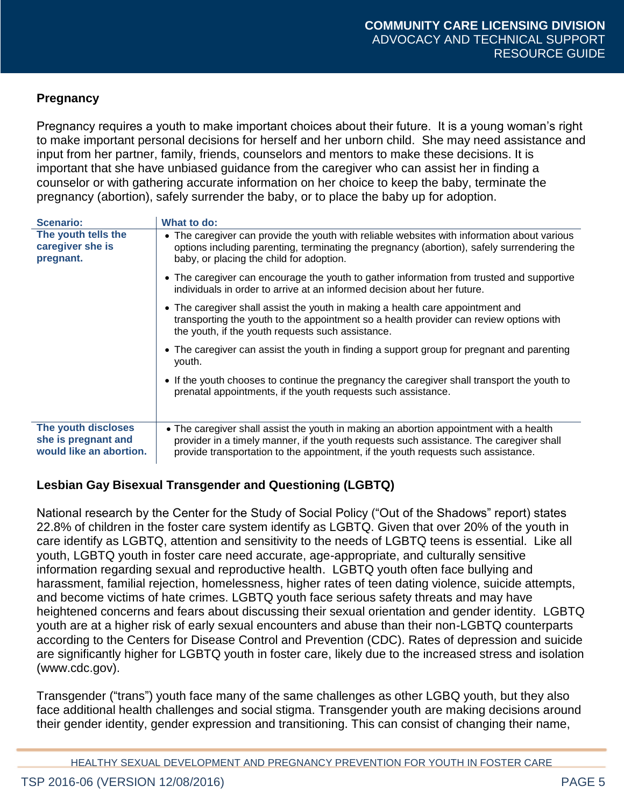### **Pregnancy**

Pregnancy requires a youth to make important choices about their future. It is a young woman's right to make important personal decisions for herself and her unborn child. She may need assistance and input from her partner, family, friends, counselors and mentors to make these decisions. It is important that she have unbiased guidance from the caregiver who can assist her in finding a counselor or with gathering accurate information on her choice to keep the baby, terminate the pregnancy (abortion), safely surrender the baby, or to place the baby up for adoption.

| <b>Scenario:</b>                                                      | What to do:                                                                                                                                                                                                                                                            |
|-----------------------------------------------------------------------|------------------------------------------------------------------------------------------------------------------------------------------------------------------------------------------------------------------------------------------------------------------------|
| The youth tells the<br>caregiver she is<br>pregnant.                  | • The caregiver can provide the youth with reliable websites with information about various<br>options including parenting, terminating the pregnancy (abortion), safely surrendering the<br>baby, or placing the child for adoption.                                  |
|                                                                       | • The caregiver can encourage the youth to gather information from trusted and supportive<br>individuals in order to arrive at an informed decision about her future.                                                                                                  |
|                                                                       | • The caregiver shall assist the youth in making a health care appointment and<br>transporting the youth to the appointment so a health provider can review options with<br>the youth, if the youth requests such assistance.                                          |
|                                                                       | • The caregiver can assist the youth in finding a support group for pregnant and parenting<br>youth.                                                                                                                                                                   |
|                                                                       | • If the youth chooses to continue the pregnancy the caregiver shall transport the youth to<br>prenatal appointments, if the youth requests such assistance.                                                                                                           |
| The youth discloses<br>she is pregnant and<br>would like an abortion. | • The caregiver shall assist the youth in making an abortion appointment with a health<br>provider in a timely manner, if the youth requests such assistance. The caregiver shall<br>provide transportation to the appointment, if the youth requests such assistance. |

# **Lesbian Gay Bisexual Transgender and Questioning (LGBTQ)**

National research by the Center for the Study of Social Policy ("Out of the Shadows" report) states 22.8% of children in the foster care system identify as LGBTQ. Given that over 20% of the youth in care identify as LGBTQ, attention and sensitivity to the needs of LGBTQ teens is essential. Like all youth, LGBTQ youth in foster care need accurate, age-appropriate, and culturally sensitive information regarding sexual and reproductive health. LGBTQ youth often face bullying and harassment, familial rejection, homelessness, higher rates of teen dating violence, suicide attempts, and become victims of hate crimes. LGBTQ youth face serious safety threats and may have heightened concerns and fears about discussing their sexual orientation and gender identity. LGBTQ youth are at a higher risk of early sexual encounters and abuse than their non-LGBTQ counterparts according to the Centers for Disease Control and Prevention (CDC). Rates of depression and suicide are significantly higher for LGBTQ youth in foster care, likely due to the increased stress and isolation (www.cdc.gov).

Transgender ("trans") youth face many of the same challenges as other LGBQ youth, but they also face additional health challenges and social stigma. Transgender youth are making decisions around their gender identity, gender expression and transitioning. This can consist of changing their name,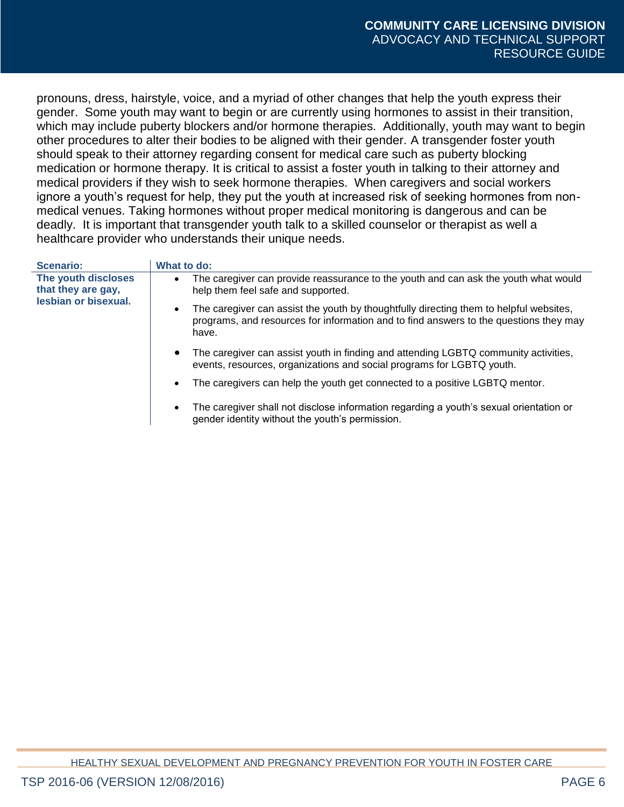pronouns, dress, hairstyle, voice, and a myriad of other changes that help the youth express their gender. Some youth may want to begin or are currently using hormones to assist in their transition, which may include puberty blockers and/or hormone therapies. Additionally, youth may want to begin other procedures to alter their bodies to be aligned with their gender. A transgender foster youth should speak to their attorney regarding consent for medical care such as puberty blocking medication or hormone therapy. It is critical to assist a foster youth in talking to their attorney and medical providers if they wish to seek hormone therapies. When caregivers and social workers ignore a youth's request for help, they put the youth at increased risk of seeking hormones from nonmedical venues. Taking hormones without proper medical monitoring is dangerous and can be deadly. It is important that transgender youth talk to a skilled counselor or therapist as well a healthcare provider who understands their unique needs.

| <b>Scenario:</b>                                                  | What to do:                                                                                                                                                                                           |
|-------------------------------------------------------------------|-------------------------------------------------------------------------------------------------------------------------------------------------------------------------------------------------------|
| The youth discloses<br>that they are gay,<br>lesbian or bisexual. | The caregiver can provide reassurance to the youth and can ask the youth what would<br>$\bullet$<br>help them feel safe and supported.                                                                |
|                                                                   | The caregiver can assist the youth by thoughtfully directing them to helpful websites,<br>$\bullet$<br>programs, and resources for information and to find answers to the questions they may<br>have. |
|                                                                   | The caregiver can assist youth in finding and attending LGBTQ community activities,<br>$\bullet$<br>events, resources, organizations and social programs for LGBTQ youth.                             |
|                                                                   | The caregivers can help the youth get connected to a positive LGBTQ mentor.<br>$\bullet$                                                                                                              |
|                                                                   | The caregiver shall not disclose information regarding a youth's sexual orientation or<br>$\bullet$<br>gender identity without the youth's permission.                                                |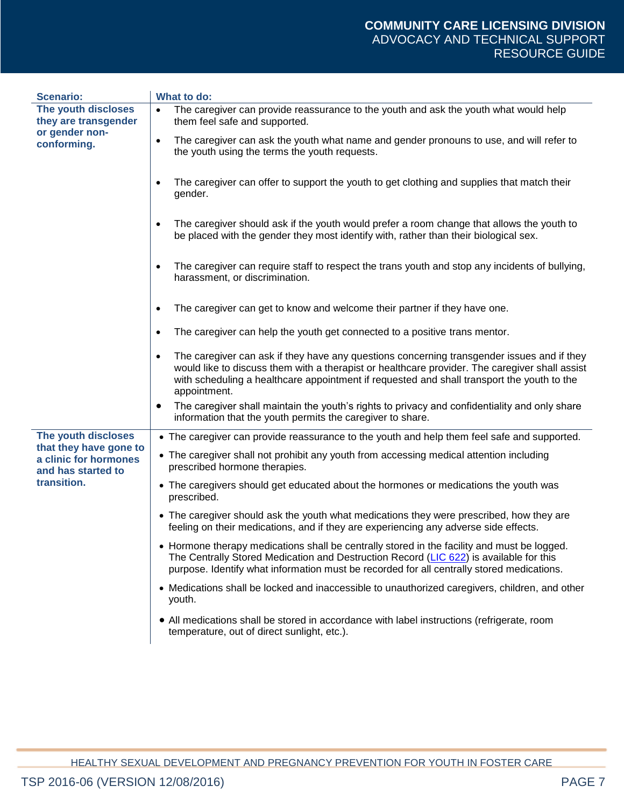| The youth discloses<br>The caregiver can provide reassurance to the youth and ask the youth what would help<br>$\bullet$<br>they are transgender<br>them feel safe and supported.<br>or gender non-<br>The caregiver can ask the youth what name and gender pronouns to use, and will refer to<br>$\bullet$<br>conforming.<br>the youth using the terms the youth requests.<br>The caregiver can offer to support the youth to get clothing and supplies that match their<br>gender.<br>The caregiver should ask if the youth would prefer a room change that allows the youth to<br>be placed with the gender they most identify with, rather than their biological sex.<br>harassment, or discrimination.<br>The caregiver can get to know and welcome their partner if they have one.<br>The caregiver can help the youth get connected to a positive trans mentor.<br>with scheduling a healthcare appointment if requested and shall transport the youth to the<br>appointment.<br>The caregiver shall maintain the youth's rights to privacy and confidentiality and only share<br>information that the youth permits the caregiver to share.<br>The youth discloses<br>• The caregiver can provide reassurance to the youth and help them feel safe and supported.<br>that they have gone to<br>• The caregiver shall not prohibit any youth from accessing medical attention including<br>a clinic for hormones<br>prescribed hormone therapies.<br>and has started to<br>transition.<br>• The caregivers should get educated about the hormones or medications the youth was<br>prescribed.<br>• The caregiver should ask the youth what medications they were prescribed, how they are<br>feeling on their medications, and if they are experiencing any adverse side effects.<br>• Hormone therapy medications shall be centrally stored in the facility and must be logged.<br>The Centrally Stored Medication and Destruction Record (LIC 622) is available for this<br>purpose. Identify what information must be recorded for all centrally stored medications. | <b>Scenario:</b> | What to do:                                                                                                                                                                                  |
|--------------------------------------------------------------------------------------------------------------------------------------------------------------------------------------------------------------------------------------------------------------------------------------------------------------------------------------------------------------------------------------------------------------------------------------------------------------------------------------------------------------------------------------------------------------------------------------------------------------------------------------------------------------------------------------------------------------------------------------------------------------------------------------------------------------------------------------------------------------------------------------------------------------------------------------------------------------------------------------------------------------------------------------------------------------------------------------------------------------------------------------------------------------------------------------------------------------------------------------------------------------------------------------------------------------------------------------------------------------------------------------------------------------------------------------------------------------------------------------------------------------------------------------------------------------------------------------------------------------------------------------------------------------------------------------------------------------------------------------------------------------------------------------------------------------------------------------------------------------------------------------------------------------------------------------------------------------------------------------------------------------------------------------------------------------------------------|------------------|----------------------------------------------------------------------------------------------------------------------------------------------------------------------------------------------|
|                                                                                                                                                                                                                                                                                                                                                                                                                                                                                                                                                                                                                                                                                                                                                                                                                                                                                                                                                                                                                                                                                                                                                                                                                                                                                                                                                                                                                                                                                                                                                                                                                                                                                                                                                                                                                                                                                                                                                                                                                                                                                |                  |                                                                                                                                                                                              |
|                                                                                                                                                                                                                                                                                                                                                                                                                                                                                                                                                                                                                                                                                                                                                                                                                                                                                                                                                                                                                                                                                                                                                                                                                                                                                                                                                                                                                                                                                                                                                                                                                                                                                                                                                                                                                                                                                                                                                                                                                                                                                |                  |                                                                                                                                                                                              |
|                                                                                                                                                                                                                                                                                                                                                                                                                                                                                                                                                                                                                                                                                                                                                                                                                                                                                                                                                                                                                                                                                                                                                                                                                                                                                                                                                                                                                                                                                                                                                                                                                                                                                                                                                                                                                                                                                                                                                                                                                                                                                |                  |                                                                                                                                                                                              |
|                                                                                                                                                                                                                                                                                                                                                                                                                                                                                                                                                                                                                                                                                                                                                                                                                                                                                                                                                                                                                                                                                                                                                                                                                                                                                                                                                                                                                                                                                                                                                                                                                                                                                                                                                                                                                                                                                                                                                                                                                                                                                |                  |                                                                                                                                                                                              |
|                                                                                                                                                                                                                                                                                                                                                                                                                                                                                                                                                                                                                                                                                                                                                                                                                                                                                                                                                                                                                                                                                                                                                                                                                                                                                                                                                                                                                                                                                                                                                                                                                                                                                                                                                                                                                                                                                                                                                                                                                                                                                |                  | The caregiver can require staff to respect the trans youth and stop any incidents of bullying,                                                                                               |
|                                                                                                                                                                                                                                                                                                                                                                                                                                                                                                                                                                                                                                                                                                                                                                                                                                                                                                                                                                                                                                                                                                                                                                                                                                                                                                                                                                                                                                                                                                                                                                                                                                                                                                                                                                                                                                                                                                                                                                                                                                                                                |                  |                                                                                                                                                                                              |
|                                                                                                                                                                                                                                                                                                                                                                                                                                                                                                                                                                                                                                                                                                                                                                                                                                                                                                                                                                                                                                                                                                                                                                                                                                                                                                                                                                                                                                                                                                                                                                                                                                                                                                                                                                                                                                                                                                                                                                                                                                                                                |                  |                                                                                                                                                                                              |
|                                                                                                                                                                                                                                                                                                                                                                                                                                                                                                                                                                                                                                                                                                                                                                                                                                                                                                                                                                                                                                                                                                                                                                                                                                                                                                                                                                                                                                                                                                                                                                                                                                                                                                                                                                                                                                                                                                                                                                                                                                                                                |                  | The caregiver can ask if they have any questions concerning transgender issues and if they<br>would like to discuss them with a therapist or healthcare provider. The caregiver shall assist |
|                                                                                                                                                                                                                                                                                                                                                                                                                                                                                                                                                                                                                                                                                                                                                                                                                                                                                                                                                                                                                                                                                                                                                                                                                                                                                                                                                                                                                                                                                                                                                                                                                                                                                                                                                                                                                                                                                                                                                                                                                                                                                |                  |                                                                                                                                                                                              |
|                                                                                                                                                                                                                                                                                                                                                                                                                                                                                                                                                                                                                                                                                                                                                                                                                                                                                                                                                                                                                                                                                                                                                                                                                                                                                                                                                                                                                                                                                                                                                                                                                                                                                                                                                                                                                                                                                                                                                                                                                                                                                |                  |                                                                                                                                                                                              |
|                                                                                                                                                                                                                                                                                                                                                                                                                                                                                                                                                                                                                                                                                                                                                                                                                                                                                                                                                                                                                                                                                                                                                                                                                                                                                                                                                                                                                                                                                                                                                                                                                                                                                                                                                                                                                                                                                                                                                                                                                                                                                |                  |                                                                                                                                                                                              |
|                                                                                                                                                                                                                                                                                                                                                                                                                                                                                                                                                                                                                                                                                                                                                                                                                                                                                                                                                                                                                                                                                                                                                                                                                                                                                                                                                                                                                                                                                                                                                                                                                                                                                                                                                                                                                                                                                                                                                                                                                                                                                |                  |                                                                                                                                                                                              |
|                                                                                                                                                                                                                                                                                                                                                                                                                                                                                                                                                                                                                                                                                                                                                                                                                                                                                                                                                                                                                                                                                                                                                                                                                                                                                                                                                                                                                                                                                                                                                                                                                                                                                                                                                                                                                                                                                                                                                                                                                                                                                |                  |                                                                                                                                                                                              |
|                                                                                                                                                                                                                                                                                                                                                                                                                                                                                                                                                                                                                                                                                                                                                                                                                                                                                                                                                                                                                                                                                                                                                                                                                                                                                                                                                                                                                                                                                                                                                                                                                                                                                                                                                                                                                                                                                                                                                                                                                                                                                |                  |                                                                                                                                                                                              |
|                                                                                                                                                                                                                                                                                                                                                                                                                                                                                                                                                                                                                                                                                                                                                                                                                                                                                                                                                                                                                                                                                                                                                                                                                                                                                                                                                                                                                                                                                                                                                                                                                                                                                                                                                                                                                                                                                                                                                                                                                                                                                |                  | • Medications shall be locked and inaccessible to unauthorized caregivers, children, and other<br>youth.                                                                                     |
| • All medications shall be stored in accordance with label instructions (refrigerate, room<br>temperature, out of direct sunlight, etc.).                                                                                                                                                                                                                                                                                                                                                                                                                                                                                                                                                                                                                                                                                                                                                                                                                                                                                                                                                                                                                                                                                                                                                                                                                                                                                                                                                                                                                                                                                                                                                                                                                                                                                                                                                                                                                                                                                                                                      |                  |                                                                                                                                                                                              |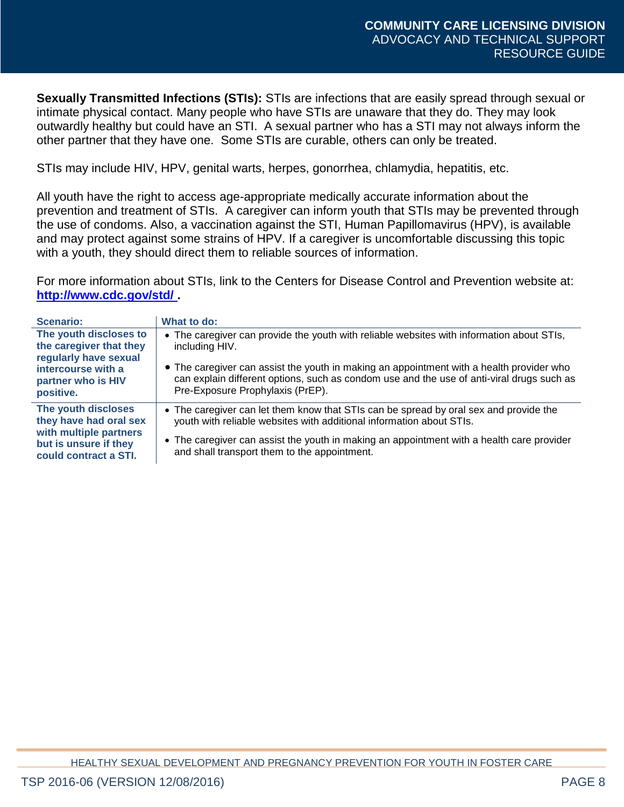**Sexually Transmitted Infections (STIs):** STIs are infections that are easily spread through sexual or intimate physical contact. Many people who have STIs are unaware that they do. They may look outwardly healthy but could have an STI. A sexual partner who has a STI may not always inform the other partner that they have one. Some STIs are curable, others can only be treated.

STIs may include HIV, HPV, genital warts, herpes, gonorrhea, chlamydia, hepatitis, etc.

All youth have the right to access age-appropriate medically accurate information about the prevention and treatment of STIs. A caregiver can inform youth that STIs may be prevented through the use of condoms. Also, a vaccination against the STI, Human Papillomavirus (HPV), is available and may protect against some strains of HPV. If a caregiver is uncomfortable discussing this topic with a youth, they should direct them to reliable sources of information.

For more information about STIs, link to the Centers for Disease Control and Prevention website at: **<http://www.cdc.gov/std/> .** 

| <b>Scenario:</b>                                                                                                                    | What to do:                                                                                                                                                                                                               |
|-------------------------------------------------------------------------------------------------------------------------------------|---------------------------------------------------------------------------------------------------------------------------------------------------------------------------------------------------------------------------|
| The youth discloses to<br>the caregiver that they<br>regularly have sexual<br>intercourse with a<br>partner who is HIV<br>positive. | • The caregiver can provide the youth with reliable websites with information about STIs,<br>including HIV.                                                                                                               |
|                                                                                                                                     | • The caregiver can assist the youth in making an appointment with a health provider who<br>can explain different options, such as condom use and the use of anti-viral drugs such as<br>Pre-Exposure Prophylaxis (PrEP). |
| The youth discloses<br>they have had oral sex<br>with multiple partners<br>but is unsure if they<br>could contract a STI.           | • The caregiver can let them know that STIs can be spread by oral sex and provide the<br>youth with reliable websites with additional information about STIs.                                                             |
|                                                                                                                                     | • The caregiver can assist the youth in making an appointment with a health care provider<br>and shall transport them to the appointment.                                                                                 |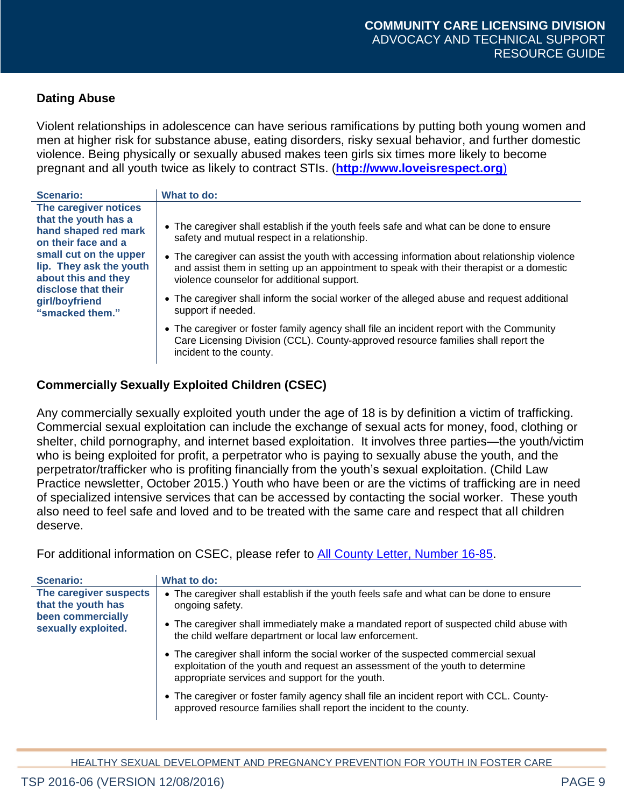### **Dating Abuse**

Violent relationships in adolescence can have serious ramifications by putting both young women and men at higher risk for substance abuse, eating disorders, risky sexual behavior, and further domestic violence. Being physically or sexually abused makes teen girls six times more likely to become pregnant and all youth twice as likely to contract STIs. (**[http://www.loveisrespect.org](http://www.loveisrespect.org/)**)

| <b>Scenario:</b>                                                                                                                                                                                                                     | What to do:                                                                                                                                                                                                                           |
|--------------------------------------------------------------------------------------------------------------------------------------------------------------------------------------------------------------------------------------|---------------------------------------------------------------------------------------------------------------------------------------------------------------------------------------------------------------------------------------|
| The caregiver notices<br>that the youth has a<br>hand shaped red mark<br>on their face and a<br>small cut on the upper<br>lip. They ask the youth<br>about this and they<br>disclose that their<br>girl/boyfriend<br>"smacked them." | • The caregiver shall establish if the youth feels safe and what can be done to ensure<br>safety and mutual respect in a relationship.                                                                                                |
|                                                                                                                                                                                                                                      | • The caregiver can assist the youth with accessing information about relationship violence<br>and assist them in setting up an appointment to speak with their therapist or a domestic<br>violence counselor for additional support. |
|                                                                                                                                                                                                                                      | • The caregiver shall inform the social worker of the alleged abuse and request additional<br>support if needed.                                                                                                                      |
|                                                                                                                                                                                                                                      | • The caregiver or foster family agency shall file an incident report with the Community<br>Care Licensing Division (CCL). County-approved resource families shall report the<br>incident to the county.                              |

# **Commercially Sexually Exploited Children (CSEC)**

Any commercially sexually exploited youth under the age of 18 is by definition a victim of trafficking. Commercial sexual exploitation can include the exchange of sexual acts for money, food, clothing or shelter, child pornography, and internet based exploitation. It involves three parties—the youth/victim who is being exploited for profit, a perpetrator who is paying to sexually abuse the youth, and the perpetrator/trafficker who is profiting financially from the youth's sexual exploitation. (Child Law Practice newsletter, October 2015.) Youth who have been or are the victims of trafficking are in need of specialized intensive services that can be accessed by contacting the social worker. These youth also need to feel safe and loved and to be treated with the same care and respect that all children deserve.

For additional information on CSEC, please refer to [All County Letter,](http://www.cdss.ca.gov/lettersnotices/EntRes/getinfo/acl/2016/16-85.pdf) Number 16-85.

| <b>Scenario:</b>                                                                         | What to do:                                                                                                                                                                                                           |
|------------------------------------------------------------------------------------------|-----------------------------------------------------------------------------------------------------------------------------------------------------------------------------------------------------------------------|
| The caregiver suspects<br>that the youth has<br>been commercially<br>sexually exploited. | • The caregiver shall establish if the youth feels safe and what can be done to ensure<br>ongoing safety.                                                                                                             |
|                                                                                          | • The caregiver shall immediately make a mandated report of suspected child abuse with<br>the child welfare department or local law enforcement.                                                                      |
|                                                                                          | • The caregiver shall inform the social worker of the suspected commercial sexual<br>exploitation of the youth and request an assessment of the youth to determine<br>appropriate services and support for the youth. |
|                                                                                          | • The caregiver or foster family agency shall file an incident report with CCL. County-<br>approved resource families shall report the incident to the county.                                                        |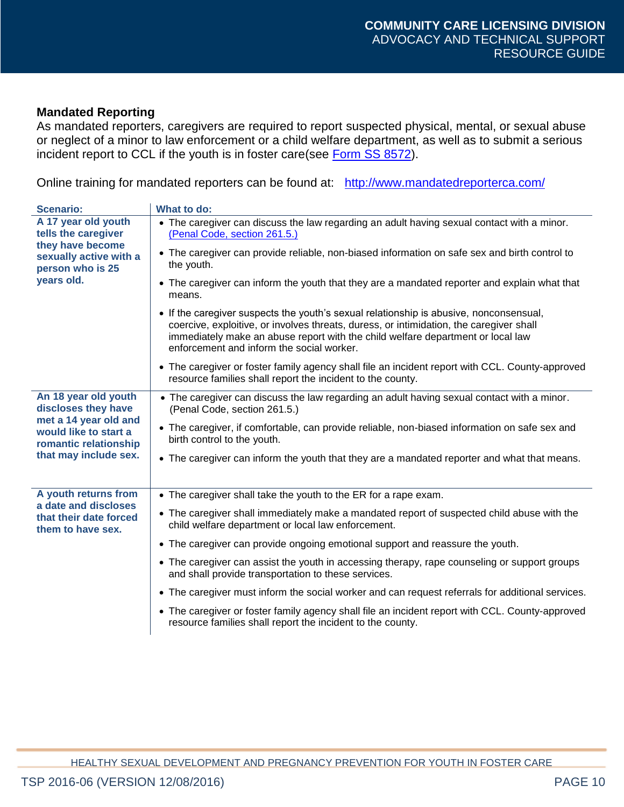### **Mandated Reporting**

As mandated reporters, caregivers are required to report suspected physical, mental, or sexual abuse or neglect of a minor to law enforcement or a child welfare department, as well as to submit a serious incident report to CCL if the youth is in foster care(see [Form SS 8572\)](http://ag.ca.gov/childabuse/pdf/ss_8572.pdf).

Online training for mandated reporters can be found at: <http://www.mandatedreporterca.com/>

| <b>Scenario:</b>                                                                                                                                | What to do:                                                                                                                                                                                                                                                                                                       |
|-------------------------------------------------------------------------------------------------------------------------------------------------|-------------------------------------------------------------------------------------------------------------------------------------------------------------------------------------------------------------------------------------------------------------------------------------------------------------------|
| A 17 year old youth<br>tells the caregiver<br>they have become<br>sexually active with a<br>person who is 25<br>years old.                      | • The caregiver can discuss the law regarding an adult having sexual contact with a minor.<br>(Penal Code, section 261.5.)                                                                                                                                                                                        |
|                                                                                                                                                 | • The caregiver can provide reliable, non-biased information on safe sex and birth control to<br>the youth.                                                                                                                                                                                                       |
|                                                                                                                                                 | • The caregiver can inform the youth that they are a mandated reporter and explain what that<br>means.                                                                                                                                                                                                            |
|                                                                                                                                                 | • If the caregiver suspects the youth's sexual relationship is abusive, nonconsensual,<br>coercive, exploitive, or involves threats, duress, or intimidation, the caregiver shall<br>immediately make an abuse report with the child welfare department or local law<br>enforcement and inform the social worker. |
|                                                                                                                                                 | • The caregiver or foster family agency shall file an incident report with CCL. County-approved<br>resource families shall report the incident to the county.                                                                                                                                                     |
| An 18 year old youth<br>discloses they have<br>met a 14 year old and<br>would like to start a<br>romantic relationship<br>that may include sex. | • The caregiver can discuss the law regarding an adult having sexual contact with a minor.<br>(Penal Code, section 261.5.)                                                                                                                                                                                        |
|                                                                                                                                                 | • The caregiver, if comfortable, can provide reliable, non-biased information on safe sex and<br>birth control to the youth.                                                                                                                                                                                      |
|                                                                                                                                                 | • The caregiver can inform the youth that they are a mandated reporter and what that means.                                                                                                                                                                                                                       |
| A youth returns from                                                                                                                            |                                                                                                                                                                                                                                                                                                                   |
| a date and discloses<br>that their date forced<br>them to have sex.                                                                             | • The caregiver shall take the youth to the ER for a rape exam.                                                                                                                                                                                                                                                   |
|                                                                                                                                                 | • The caregiver shall immediately make a mandated report of suspected child abuse with the<br>child welfare department or local law enforcement.                                                                                                                                                                  |
|                                                                                                                                                 | • The caregiver can provide ongoing emotional support and reassure the youth.                                                                                                                                                                                                                                     |
|                                                                                                                                                 | • The caregiver can assist the youth in accessing therapy, rape counseling or support groups<br>and shall provide transportation to these services.                                                                                                                                                               |
|                                                                                                                                                 | • The caregiver must inform the social worker and can request referrals for additional services.                                                                                                                                                                                                                  |
|                                                                                                                                                 | • The caregiver or foster family agency shall file an incident report with CCL. County-approved<br>resource families shall report the incident to the county.                                                                                                                                                     |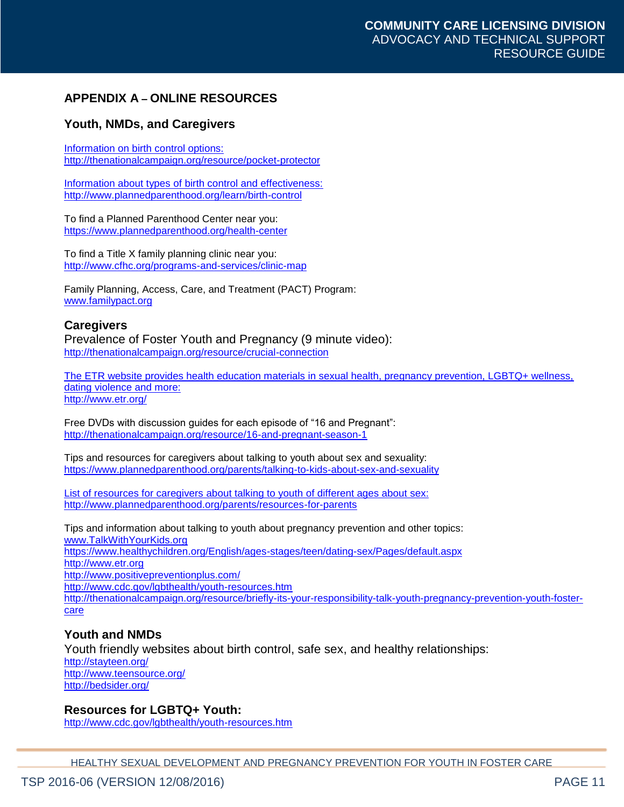### **APPENDIX A – ONLINE RESOURCES**

### **Youth, NMDs, and Caregivers**

Information on birth control options: <http://thenationalcampaign.org/resource/pocket-protector>

Information about types of birth control and effectiveness: <http://www.plannedparenthood.org/learn/birth-control>

To find a Planned Parenthood Center near you: <https://www.plannedparenthood.org/health-center>

To find a Title X family planning clinic near you: <http://www.cfhc.org/programs-and-services/clinic-map>

Family Planning, Access, Care, and Treatment (PACT) Program: [www.familypact.org](http://www.familypact.org/)

### **Caregivers**

Prevalence of Foster Youth and Pregnancy (9 minute video): <http://thenationalcampaign.org/resource/crucial-connection>

The ETR website provides health education materials in sexual health, pregnancy prevention, LGBTQ+ wellness, dating violence and more: <http://www.etr.org/>

Free DVDs with discussion guides for each episode of "16 and Pregnant": <http://thenationalcampaign.org/resource/16-and-pregnant-season-1>

Tips and resources for caregivers about talking to youth about sex and sexuality: <https://www.plannedparenthood.org/parents/talking-to-kids-about-sex-and-sexuality>

List of resources for caregivers about talking to youth of different ages about sex: <http://www.plannedparenthood.org/parents/resources-for-parents>

Tips and information about talking to youth about pregnancy prevention and other topics: [www.TalkWithYourKids.org](http://www.talkwithyourkids.org/) <https://www.healthychildren.org/English/ages-stages/teen/dating-sex/Pages/default.aspx> [http://www.etr.org](http://www.etr.org/) <http://www.positivepreventionplus.com/> <http://www.cdc.gov/lgbthealth/youth-resources.htm> [http://thenationalcampaign.org/resource/briefly-its-your-responsibility-talk-youth-pregnancy-prevention-youth-foster](http://thenationalcampaign.org/resource/briefly-its-your-responsibility-talk-youth-pregnancy-prevention-youth-foster-care)[care](http://thenationalcampaign.org/resource/briefly-its-your-responsibility-talk-youth-pregnancy-prevention-youth-foster-care)

### **Youth and NMDs**

Youth friendly websites about birth control, safe sex, and healthy relationships: <http://stayteen.org/> <http://www.teensource.org/> <http://bedsider.org/>

### **Resources for LGBTQ+ Youth:**

<http://www.cdc.gov/lgbthealth/youth-resources.htm>

HEALTHY SEXUAL DEVELOPMENT AND PREGNANCY PREVENTION FOR YOUTH IN FOSTER CARE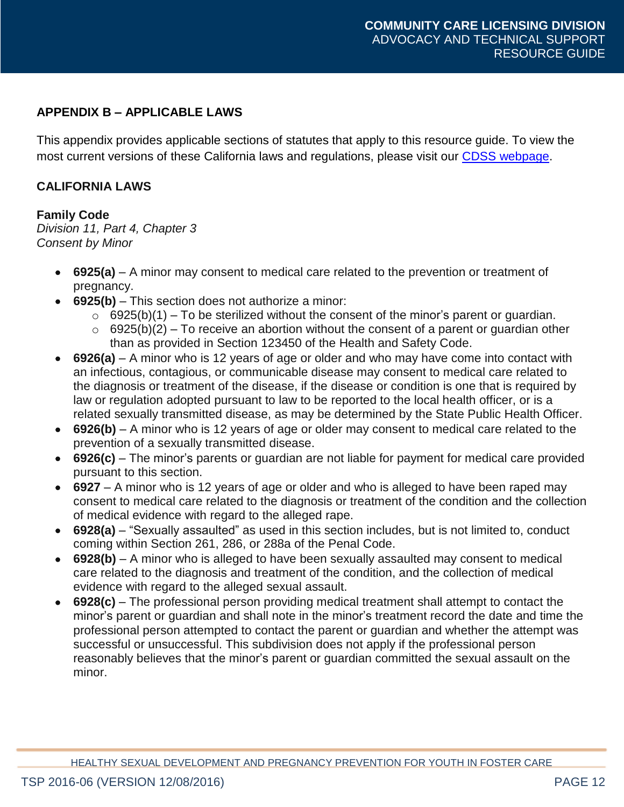# **APPENDIX B – APPLICABLE LAWS**

This appendix provides applicable sections of statutes that apply to this resource guide. To view the most current versions of these California laws and regulations, please visit our [CDSS webpage.](http://www.dss.ca.gov/dsssource/PG2229.htm)

### **CALIFORNIA LAWS**

### **Family Code**

*Division 11, Part 4, Chapter 3 Consent by Minor*

- **6925(a)** A minor may consent to medical care related to the prevention or treatment of pregnancy.
- **6925(b)** This section does not authorize a minor:
	- $\circ$  6925(b)(1) To be sterilized without the consent of the minor's parent or guardian.
	- $\circ$  6925(b)(2) To receive an abortion without the consent of a parent or guardian other than as provided in Section 123450 of the Health and Safety Code.
- **6926(a)** A minor who is 12 years of age or older and who may have come into contact with an infectious, contagious, or communicable disease may consent to medical care related to the diagnosis or treatment of the disease, if the disease or condition is one that is required by law or regulation adopted pursuant to law to be reported to the local health officer, or is a related sexually transmitted disease, as may be determined by the State Public Health Officer.
- **6926(b)** A minor who is 12 years of age or older may consent to medical care related to the prevention of a sexually transmitted disease.
- **6926(c)** The minor's parents or guardian are not liable for payment for medical care provided pursuant to this section.
- **6927** A minor who is 12 years of age or older and who is alleged to have been raped may consent to medical care related to the diagnosis or treatment of the condition and the collection of medical evidence with regard to the alleged rape.
- **6928(a)** "Sexually assaulted" as used in this section includes, but is not limited to, conduct coming within Section 261, 286, or 288a of the Penal Code.
- **6928(b)** A minor who is alleged to have been sexually assaulted may consent to medical care related to the diagnosis and treatment of the condition, and the collection of medical evidence with regard to the alleged sexual assault.
- **6928(c)** The professional person providing medical treatment shall attempt to contact the minor's parent or guardian and shall note in the minor's treatment record the date and time the professional person attempted to contact the parent or guardian and whether the attempt was successful or unsuccessful. This subdivision does not apply if the professional person reasonably believes that the minor's parent or guardian committed the sexual assault on the minor.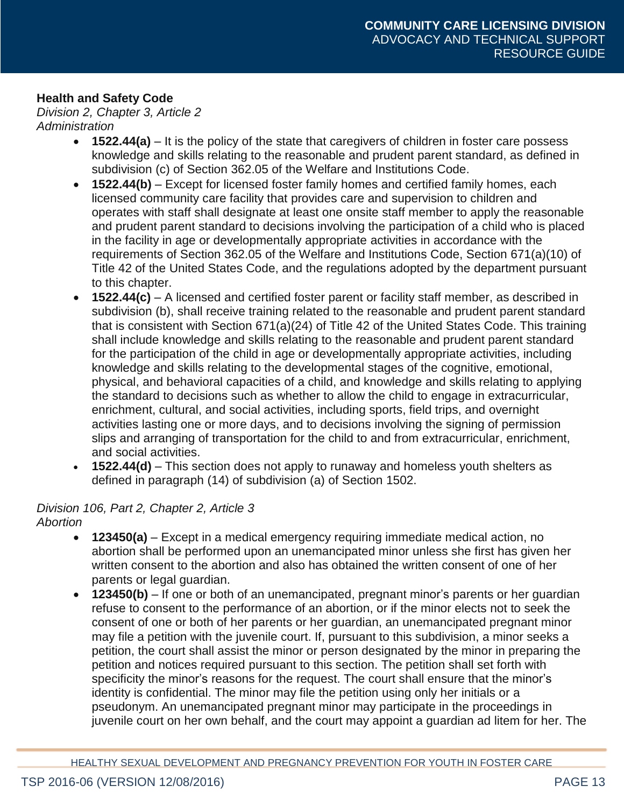### **Health and Safety Code**

*Division 2, Chapter 3, Article 2 Administration*

- **1522.44(a)** It is the policy of the state that caregivers of children in foster care possess knowledge and skills relating to the reasonable and prudent parent standard, as defined in subdivision (c) of Section 362.05 of the Welfare and Institutions Code.
- **1522.44(b)** Except for licensed foster family homes and certified family homes, each licensed community care facility that provides care and supervision to children and operates with staff shall designate at least one onsite staff member to apply the reasonable and prudent parent standard to decisions involving the participation of a child who is placed in the facility in age or developmentally appropriate activities in accordance with the requirements of Section 362.05 of the Welfare and Institutions Code, Section 671(a)(10) of Title 42 of the United States Code, and the regulations adopted by the department pursuant to this chapter.
- **1522.44(c)** A licensed and certified foster parent or facility staff member, as described in subdivision (b), shall receive training related to the reasonable and prudent parent standard that is consistent with Section 671(a)(24) of Title 42 of the United States Code. This training shall include knowledge and skills relating to the reasonable and prudent parent standard for the participation of the child in age or developmentally appropriate activities, including knowledge and skills relating to the developmental stages of the cognitive, emotional, physical, and behavioral capacities of a child, and knowledge and skills relating to applying the standard to decisions such as whether to allow the child to engage in extracurricular, enrichment, cultural, and social activities, including sports, field trips, and overnight activities lasting one or more days, and to decisions involving the signing of permission slips and arranging of transportation for the child to and from extracurricular, enrichment, and social activities.
- **1522.44(d)** This section does not apply to runaway and homeless youth shelters as defined in paragraph (14) of subdivision (a) of Section 1502.

### *Division 106, Part 2, Chapter 2, Article 3 Abortion*

- **123450(a)** Except in a medical emergency requiring immediate medical action, no abortion shall be performed upon an unemancipated minor unless she first has given her written consent to the abortion and also has obtained the written consent of one of her parents or legal guardian.
- **123450(b)** If one or both of an unemancipated, pregnant minor's parents or her guardian refuse to consent to the performance of an abortion, or if the minor elects not to seek the consent of one or both of her parents or her guardian, an unemancipated pregnant minor may file a petition with the juvenile court. If, pursuant to this subdivision, a minor seeks a petition, the court shall assist the minor or person designated by the minor in preparing the petition and notices required pursuant to this section. The petition shall set forth with specificity the minor's reasons for the request. The court shall ensure that the minor's identity is confidential. The minor may file the petition using only her initials or a pseudonym. An unemancipated pregnant minor may participate in the proceedings in juvenile court on her own behalf, and the court may appoint a guardian ad litem for her. The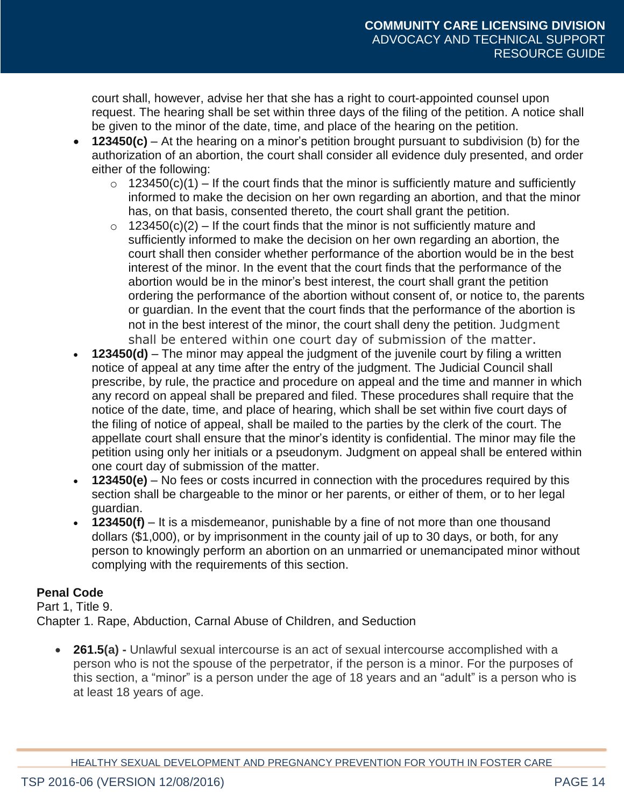court shall, however, advise her that she has a right to court-appointed counsel upon request. The hearing shall be set within three days of the filing of the petition. A notice shall be given to the minor of the date, time, and place of the hearing on the petition.

- **123450(c)** At the hearing on a minor's petition brought pursuant to subdivision (b) for the authorization of an abortion, the court shall consider all evidence duly presented, and order either of the following:
	- $\circ$  123450(c)(1) If the court finds that the minor is sufficiently mature and sufficiently informed to make the decision on her own regarding an abortion, and that the minor has, on that basis, consented thereto, the court shall grant the petition.
	- $\circ$  123450(c)(2) If the court finds that the minor is not sufficiently mature and sufficiently informed to make the decision on her own regarding an abortion, the court shall then consider whether performance of the abortion would be in the best interest of the minor. In the event that the court finds that the performance of the abortion would be in the minor's best interest, the court shall grant the petition ordering the performance of the abortion without consent of, or notice to, the parents or guardian. In the event that the court finds that the performance of the abortion is not in the best interest of the minor, the court shall deny the petition. Judgment shall be entered within one court day of submission of the matter.
- **123450(d)** The minor may appeal the judgment of the juvenile court by filing a written notice of appeal at any time after the entry of the judgment. The Judicial Council shall prescribe, by rule, the practice and procedure on appeal and the time and manner in which any record on appeal shall be prepared and filed. These procedures shall require that the notice of the date, time, and place of hearing, which shall be set within five court days of the filing of notice of appeal, shall be mailed to the parties by the clerk of the court. The appellate court shall ensure that the minor's identity is confidential. The minor may file the petition using only her initials or a pseudonym. Judgment on appeal shall be entered within one court day of submission of the matter.
- **123450(e)** No fees or costs incurred in connection with the procedures required by this section shall be chargeable to the minor or her parents, or either of them, or to her legal guardian.
- **123450(f)** It is a misdemeanor, punishable by a fine of not more than one thousand dollars (\$1,000), or by imprisonment in the county jail of up to 30 days, or both, for any person to knowingly perform an abortion on an unmarried or unemancipated minor without complying with the requirements of this section.

# **Penal Code**

Part 1, Title 9.

Chapter 1. Rape, Abduction, Carnal Abuse of Children, and Seduction

 **261.5(a) -** Unlawful sexual intercourse is an act of sexual intercourse accomplished with a person who is not the spouse of the perpetrator, if the person is a minor. For the purposes of this section, a "minor" is a person under the age of 18 years and an "adult" is a person who is at least 18 years of age.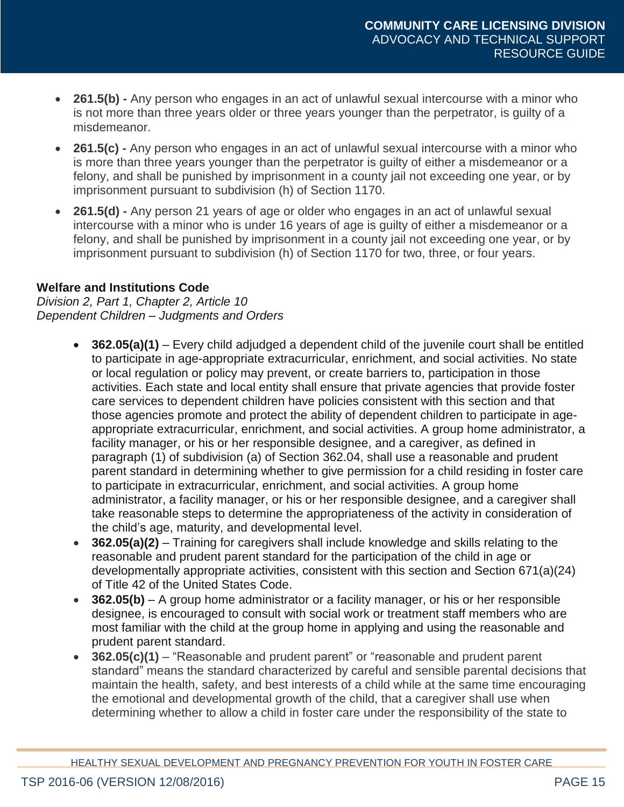- **261.5(b) -** Any person who engages in an act of unlawful sexual intercourse with a minor who is not more than three years older or three years younger than the perpetrator, is guilty of a misdemeanor.
- **261.5(c) -** Any person who engages in an act of unlawful sexual intercourse with a minor who is more than three years younger than the perpetrator is guilty of either a misdemeanor or a felony, and shall be punished by imprisonment in a county jail not exceeding one year, or by imprisonment pursuant to subdivision (h) of Section 1170.
- **261.5(d) -** Any person 21 years of age or older who engages in an act of unlawful sexual intercourse with a minor who is under 16 years of age is guilty of either a misdemeanor or a felony, and shall be punished by imprisonment in a county jail not exceeding one year, or by imprisonment pursuant to subdivision (h) of Section 1170 for two, three, or four years.

### **Welfare and Institutions Code**

*Division 2, Part 1, Chapter 2, Article 10 Dependent Children – Judgments and Orders*

- **362.05(a)(1)** Every child adjudged a dependent child of the juvenile court shall be entitled to participate in age-appropriate extracurricular, enrichment, and social activities. No state or local regulation or policy may prevent, or create barriers to, participation in those activities. Each state and local entity shall ensure that private agencies that provide foster care services to dependent children have policies consistent with this section and that those agencies promote and protect the ability of dependent children to participate in ageappropriate extracurricular, enrichment, and social activities. A group home administrator, a facility manager, or his or her responsible designee, and a caregiver, as defined in paragraph (1) of subdivision (a) of Section 362.04, shall use a reasonable and prudent parent standard in determining whether to give permission for a child residing in foster care to participate in extracurricular, enrichment, and social activities. A group home administrator, a facility manager, or his or her responsible designee, and a caregiver shall take reasonable steps to determine the appropriateness of the activity in consideration of the child's age, maturity, and developmental level.
- **362.05(a)(2)** Training for caregivers shall include knowledge and skills relating to the reasonable and prudent parent standard for the participation of the child in age or developmentally appropriate activities, consistent with this section and Section 671(a)(24) of Title 42 of the United States Code.
- **362.05(b)** A group home administrator or a facility manager, or his or her responsible designee, is encouraged to consult with social work or treatment staff members who are most familiar with the child at the group home in applying and using the reasonable and prudent parent standard.
- **362.05(c)(1)** "Reasonable and prudent parent" or "reasonable and prudent parent standard" means the standard characterized by careful and sensible parental decisions that maintain the health, safety, and best interests of a child while at the same time encouraging the emotional and developmental growth of the child, that a caregiver shall use when determining whether to allow a child in foster care under the responsibility of the state to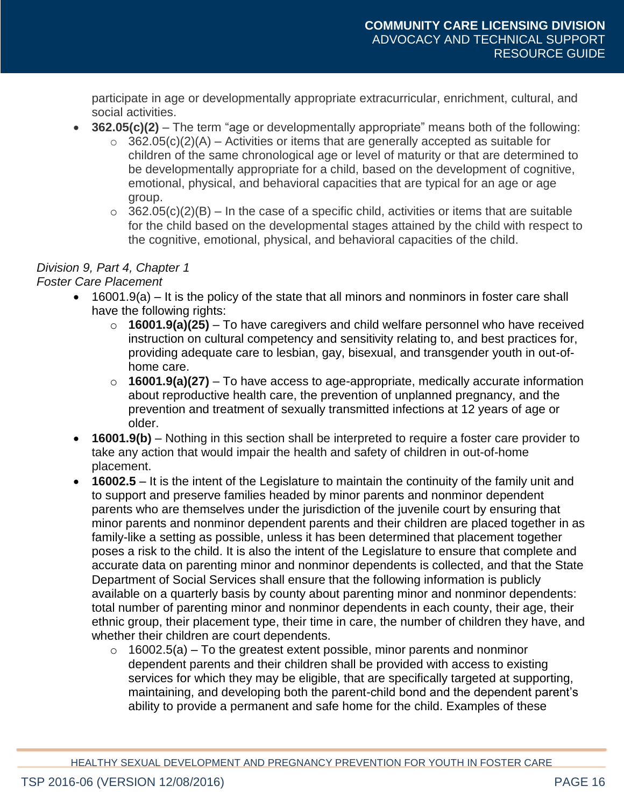participate in age or developmentally appropriate extracurricular, enrichment, cultural, and social activities.

- **362.05(c)(2)** The term "age or developmentally appropriate" means both of the following:
	- $\circ$  362.05(c)(2)(A) Activities or items that are generally accepted as suitable for children of the same chronological age or level of maturity or that are determined to be developmentally appropriate for a child, based on the development of cognitive, emotional, physical, and behavioral capacities that are typical for an age or age group.
	- $\circ$  362.05(c)(2)(B) In the case of a specific child, activities or items that are suitable for the child based on the developmental stages attained by the child with respect to the cognitive, emotional, physical, and behavioral capacities of the child.

### *Division 9, Part 4, Chapter 1 Foster Care Placement*

- 16001.9(a) It is the policy of the state that all minors and nonminors in foster care shall have the following rights:
	- o **16001.9(a)(25)** To have caregivers and child welfare personnel who have received instruction on cultural competency and sensitivity relating to, and best practices for, providing adequate care to lesbian, gay, bisexual, and transgender youth in out-ofhome care.
	- o **16001.9(a)(27)** To have access to age-appropriate, medically accurate information about reproductive health care, the prevention of unplanned pregnancy, and the prevention and treatment of sexually transmitted infections at 12 years of age or older.
- **16001.9(b)** Nothing in this section shall be interpreted to require a foster care provider to take any action that would impair the health and safety of children in out-of-home placement.
- **16002.5**  It is the intent of the Legislature to maintain the continuity of the family unit and to support and preserve families headed by minor parents and nonminor dependent parents who are themselves under the jurisdiction of the juvenile court by ensuring that minor parents and nonminor dependent parents and their children are placed together in as family-like a setting as possible, unless it has been determined that placement together poses a risk to the child. It is also the intent of the Legislature to ensure that complete and accurate data on parenting minor and nonminor dependents is collected, and that the State Department of Social Services shall ensure that the following information is publicly available on a quarterly basis by county about parenting minor and nonminor dependents: total number of parenting minor and nonminor dependents in each county, their age, their ethnic group, their placement type, their time in care, the number of children they have, and whether their children are court dependents.
	- $\circ$  16002.5(a) To the greatest extent possible, minor parents and nonminor dependent parents and their children shall be provided with access to existing services for which they may be eligible, that are specifically targeted at supporting, maintaining, and developing both the parent-child bond and the dependent parent's ability to provide a permanent and safe home for the child. Examples of these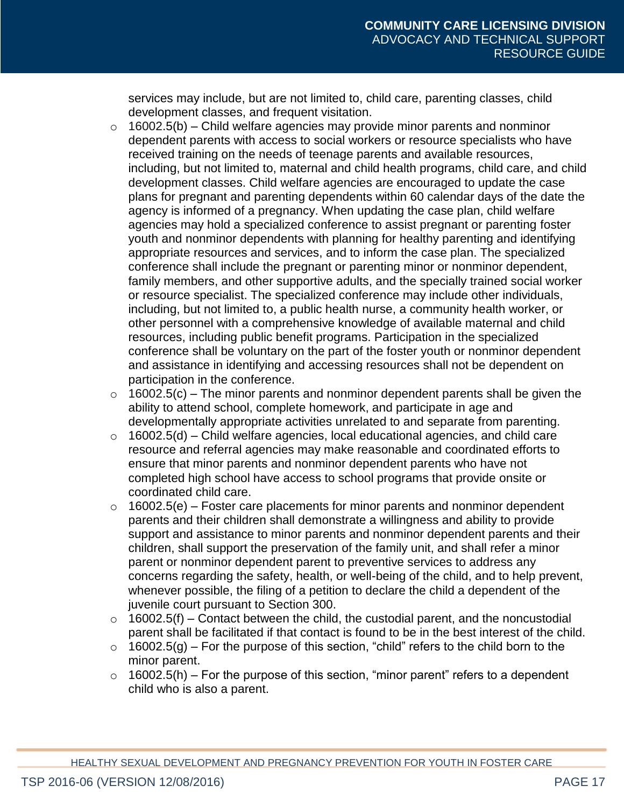services may include, but are not limited to, child care, parenting classes, child development classes, and frequent visitation.

- $\circ$  16002.5(b) Child welfare agencies may provide minor parents and nonminor dependent parents with access to social workers or resource specialists who have received training on the needs of teenage parents and available resources, including, but not limited to, maternal and child health programs, child care, and child development classes. Child welfare agencies are encouraged to update the case plans for pregnant and parenting dependents within 60 calendar days of the date the agency is informed of a pregnancy. When updating the case plan, child welfare agencies may hold a specialized conference to assist pregnant or parenting foster youth and nonminor dependents with planning for healthy parenting and identifying appropriate resources and services, and to inform the case plan. The specialized conference shall include the pregnant or parenting minor or nonminor dependent, family members, and other supportive adults, and the specially trained social worker or resource specialist. The specialized conference may include other individuals, including, but not limited to, a public health nurse, a community health worker, or other personnel with a comprehensive knowledge of available maternal and child resources, including public benefit programs. Participation in the specialized conference shall be voluntary on the part of the foster youth or nonminor dependent and assistance in identifying and accessing resources shall not be dependent on participation in the conference.
- $\circ$  16002.5(c) The minor parents and nonminor dependent parents shall be given the ability to attend school, complete homework, and participate in age and developmentally appropriate activities unrelated to and separate from parenting.
- $\circ$  16002.5(d) Child welfare agencies, local educational agencies, and child care resource and referral agencies may make reasonable and coordinated efforts to ensure that minor parents and nonminor dependent parents who have not completed high school have access to school programs that provide onsite or coordinated child care.
- $\circ$  16002.5(e) Foster care placements for minor parents and nonminor dependent parents and their children shall demonstrate a willingness and ability to provide support and assistance to minor parents and nonminor dependent parents and their children, shall support the preservation of the family unit, and shall refer a minor parent or nonminor dependent parent to preventive services to address any concerns regarding the safety, health, or well-being of the child, and to help prevent, whenever possible, the filing of a petition to declare the child a dependent of the juvenile court pursuant to Section 300.
- $\circ$  16002.5(f) Contact between the child, the custodial parent, and the noncustodial parent shall be facilitated if that contact is found to be in the best interest of the child.
- $\circ$  16002.5(g) For the purpose of this section, "child" refers to the child born to the minor parent.
- $\circ$  16002.5(h) For the purpose of this section, "minor parent" refers to a dependent child who is also a parent.